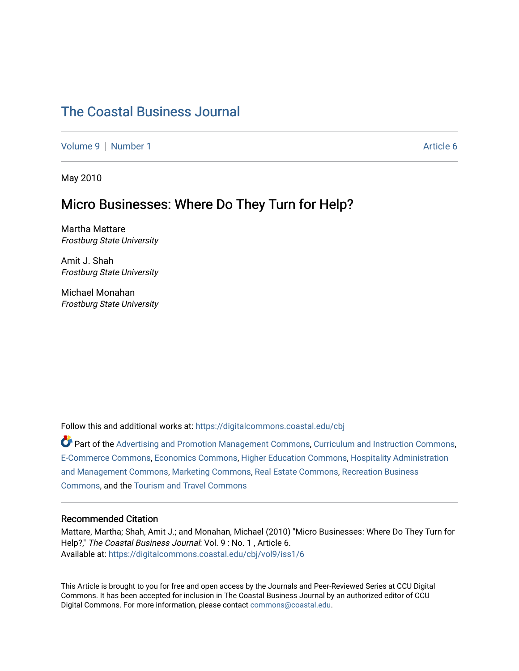# [The Coastal Business Journal](https://digitalcommons.coastal.edu/cbj)

[Volume 9](https://digitalcommons.coastal.edu/cbj/vol9) | [Number 1](https://digitalcommons.coastal.edu/cbj/vol9/iss1) Article 6

May 2010

# Micro Businesses: Where Do They Turn for Help?

Martha Mattare Frostburg State University

Amit J. Shah Frostburg State University

Michael Monahan Frostburg State University

Follow this and additional works at: [https://digitalcommons.coastal.edu/cbj](https://digitalcommons.coastal.edu/cbj?utm_source=digitalcommons.coastal.edu%2Fcbj%2Fvol9%2Fiss1%2F6&utm_medium=PDF&utm_campaign=PDFCoverPages) 

Part of the [Advertising and Promotion Management Commons,](http://network.bepress.com/hgg/discipline/626?utm_source=digitalcommons.coastal.edu%2Fcbj%2Fvol9%2Fiss1%2F6&utm_medium=PDF&utm_campaign=PDFCoverPages) [Curriculum and Instruction Commons,](http://network.bepress.com/hgg/discipline/786?utm_source=digitalcommons.coastal.edu%2Fcbj%2Fvol9%2Fiss1%2F6&utm_medium=PDF&utm_campaign=PDFCoverPages) [E-Commerce Commons,](http://network.bepress.com/hgg/discipline/624?utm_source=digitalcommons.coastal.edu%2Fcbj%2Fvol9%2Fiss1%2F6&utm_medium=PDF&utm_campaign=PDFCoverPages) [Economics Commons](http://network.bepress.com/hgg/discipline/340?utm_source=digitalcommons.coastal.edu%2Fcbj%2Fvol9%2Fiss1%2F6&utm_medium=PDF&utm_campaign=PDFCoverPages), [Higher Education Commons](http://network.bepress.com/hgg/discipline/1245?utm_source=digitalcommons.coastal.edu%2Fcbj%2Fvol9%2Fiss1%2F6&utm_medium=PDF&utm_campaign=PDFCoverPages), [Hospitality Administration](http://network.bepress.com/hgg/discipline/632?utm_source=digitalcommons.coastal.edu%2Fcbj%2Fvol9%2Fiss1%2F6&utm_medium=PDF&utm_campaign=PDFCoverPages) [and Management Commons,](http://network.bepress.com/hgg/discipline/632?utm_source=digitalcommons.coastal.edu%2Fcbj%2Fvol9%2Fiss1%2F6&utm_medium=PDF&utm_campaign=PDFCoverPages) [Marketing Commons](http://network.bepress.com/hgg/discipline/638?utm_source=digitalcommons.coastal.edu%2Fcbj%2Fvol9%2Fiss1%2F6&utm_medium=PDF&utm_campaign=PDFCoverPages), [Real Estate Commons](http://network.bepress.com/hgg/discipline/641?utm_source=digitalcommons.coastal.edu%2Fcbj%2Fvol9%2Fiss1%2F6&utm_medium=PDF&utm_campaign=PDFCoverPages), [Recreation Business](http://network.bepress.com/hgg/discipline/1083?utm_source=digitalcommons.coastal.edu%2Fcbj%2Fvol9%2Fiss1%2F6&utm_medium=PDF&utm_campaign=PDFCoverPages) [Commons](http://network.bepress.com/hgg/discipline/1083?utm_source=digitalcommons.coastal.edu%2Fcbj%2Fvol9%2Fiss1%2F6&utm_medium=PDF&utm_campaign=PDFCoverPages), and the [Tourism and Travel Commons](http://network.bepress.com/hgg/discipline/1082?utm_source=digitalcommons.coastal.edu%2Fcbj%2Fvol9%2Fiss1%2F6&utm_medium=PDF&utm_campaign=PDFCoverPages)

#### Recommended Citation

Mattare, Martha; Shah, Amit J.; and Monahan, Michael (2010) "Micro Businesses: Where Do They Turn for Help?," The Coastal Business Journal: Vol. 9 : No. 1, Article 6. Available at: [https://digitalcommons.coastal.edu/cbj/vol9/iss1/6](https://digitalcommons.coastal.edu/cbj/vol9/iss1/6?utm_source=digitalcommons.coastal.edu%2Fcbj%2Fvol9%2Fiss1%2F6&utm_medium=PDF&utm_campaign=PDFCoverPages)

This Article is brought to you for free and open access by the Journals and Peer-Reviewed Series at CCU Digital Commons. It has been accepted for inclusion in The Coastal Business Journal by an authorized editor of CCU Digital Commons. For more information, please contact [commons@coastal.edu](mailto:commons@coastal.edu).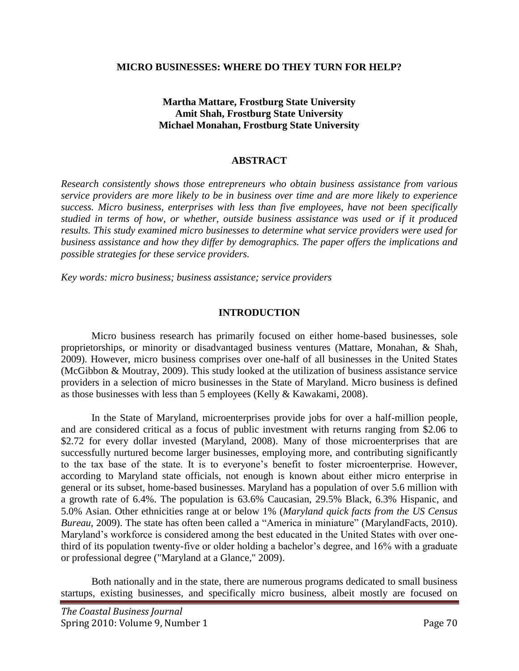#### **MICRO BUSINESSES: WHERE DO THEY TURN FOR HELP?**

## **Martha Mattare, Frostburg State University Amit Shah, Frostburg State University Michael Monahan, Frostburg State University**

#### **ABSTRACT**

*Research consistently shows those entrepreneurs who obtain business assistance from various service providers are more likely to be in business over time and are more likely to experience success. Micro business, enterprises with less than five employees, have not been specifically studied in terms of how, or whether, outside business assistance was used or if it produced results. This study examined micro businesses to determine what service providers were used for business assistance and how they differ by demographics. The paper offers the implications and possible strategies for these service providers.* 

*Key words: micro business; business assistance; service providers* 

### **INTRODUCTION**

Micro business research has primarily focused on either home-based businesses, sole proprietorships, or minority or disadvantaged business ventures (Mattare, Monahan, & Shah, 2009). However, micro business comprises over one-half of all businesses in the United States (McGibbon & Moutray, 2009). This study looked at the utilization of business assistance service providers in a selection of micro businesses in the State of Maryland. Micro business is defined as those businesses with less than 5 employees (Kelly & Kawakami, 2008).

In the State of Maryland, microenterprises provide jobs for over a half-million people, and are considered critical as a focus of public investment with returns ranging from \$2.06 to \$2.72 for every dollar invested (Maryland, 2008). Many of those microenterprises that are successfully nurtured become larger businesses, employing more, and contributing significantly to the tax base of the state. It is to everyone's benefit to foster microenterprise. However, according to Maryland state officials, not enough is known about either micro enterprise in general or its subset, home-based businesses. Maryland has a population of over 5.6 million with a growth rate of 6.4%. The population is 63.6% Caucasian, 29.5% Black, 6.3% Hispanic, and 5.0% Asian. Other ethnicities range at or below 1% (*Maryland quick facts from the US Census Bureau*, 2009). The state has often been called a "America in miniature" (MarylandFacts, 2010). Maryland's workforce is considered among the best educated in the United States with over onethird of its population twenty-five or older holding a bachelor's degree, and 16% with a graduate or professional degree ("Maryland at a Glance," 2009).

Both nationally and in the state, there are numerous programs dedicated to small business startups, existing businesses, and specifically micro business, albeit mostly are focused on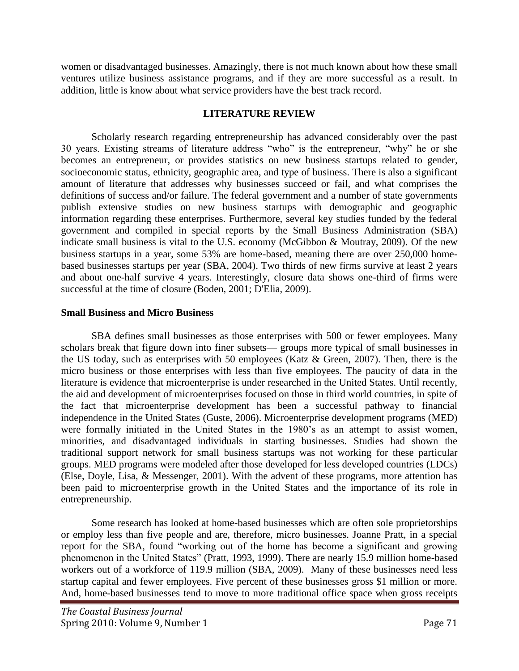women or disadvantaged businesses. Amazingly, there is not much known about how these small ventures utilize business assistance programs, and if they are more successful as a result. In addition, little is know about what service providers have the best track record.

### **LITERATURE REVIEW**

Scholarly research regarding entrepreneurship has advanced considerably over the past 30 years. Existing streams of literature address "who" is the entrepreneur, "why" he or she becomes an entrepreneur, or provides statistics on new business startups related to gender, socioeconomic status, ethnicity, geographic area, and type of business. There is also a significant amount of literature that addresses why businesses succeed or fail, and what comprises the definitions of success and/or failure. The federal government and a number of state governments publish extensive studies on new business startups with demographic and geographic information regarding these enterprises. Furthermore, several key studies funded by the federal government and compiled in special reports by the Small Business Administration (SBA) indicate small business is vital to the U.S. economy (McGibbon & Moutray, 2009). Of the new business startups in a year, some 53% are home-based, meaning there are over 250,000 homebased businesses startups per year (SBA, 2004). Two thirds of new firms survive at least 2 years and about one-half survive 4 years. Interestingly, closure data shows one-third of firms were successful at the time of closure (Boden, 2001; D'Elia, 2009).

### **Small Business and Micro Business**

SBA defines small businesses as those enterprises with 500 or fewer employees. Many scholars break that figure down into finer subsets— groups more typical of small businesses in the US today, such as enterprises with 50 employees (Katz & Green, 2007). Then, there is the micro business or those enterprises with less than five employees. The paucity of data in the literature is evidence that microenterprise is under researched in the United States. Until recently, the aid and development of microenterprises focused on those in third world countries, in spite of the fact that microenterprise development has been a successful pathway to financial independence in the United States (Guste, 2006). Microenterprise development programs (MED) were formally initiated in the United States in the 1980's as an attempt to assist women, minorities, and disadvantaged individuals in starting businesses. Studies had shown the traditional support network for small business startups was not working for these particular groups. MED programs were modeled after those developed for less developed countries (LDCs) (Else, Doyle, Lisa, & Messenger, 2001). With the advent of these programs, more attention has been paid to microenterprise growth in the United States and the importance of its role in entrepreneurship.

Some research has looked at home-based businesses which are often sole proprietorships or employ less than five people and are, therefore, micro businesses. Joanne Pratt, in a special report for the SBA, found "working out of the home has become a significant and growing phenomenon in the United States" (Pratt, 1993, 1999). There are nearly 15.9 million home-based workers out of a workforce of 119.9 million (SBA, 2009). Many of these businesses need less startup capital and fewer employees. Five percent of these businesses gross \$1 million or more. And, home-based businesses tend to move to more traditional office space when gross receipts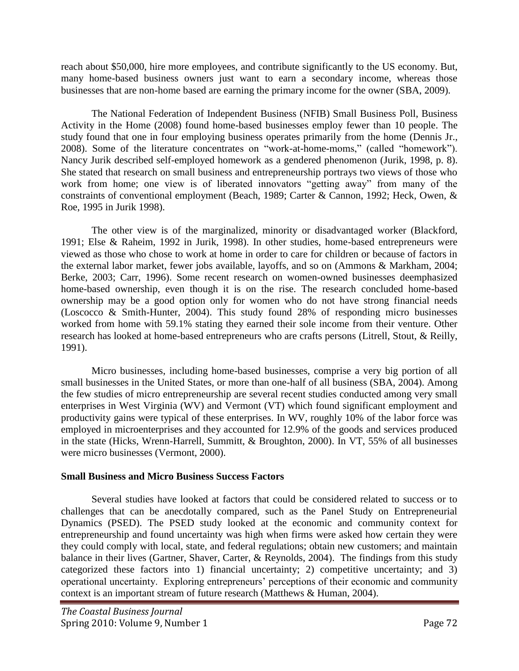reach about \$50,000, hire more employees, and contribute significantly to the US economy. But, many home-based business owners just want to earn a secondary income, whereas those businesses that are non-home based are earning the primary income for the owner (SBA, 2009).

The National Federation of Independent Business (NFIB) Small Business Poll, Business Activity in the Home (2008) found home-based businesses employ fewer than 10 people. The study found that one in four employing business operates primarily from the home (Dennis Jr., 2008). Some of the literature concentrates on "work-at-home-moms," (called "homework"). Nancy Jurik described self-employed homework as a gendered phenomenon (Jurik, 1998, p. 8). She stated that research on small business and entrepreneurship portrays two views of those who work from home; one view is of liberated innovators "getting away" from many of the constraints of conventional employment (Beach, 1989; Carter & Cannon, 1992; Heck, Owen, & Roe, 1995 in Jurik 1998).

The other view is of the marginalized, minority or disadvantaged worker (Blackford, 1991; Else & Raheim, 1992 in Jurik, 1998). In other studies, home-based entrepreneurs were viewed as those who chose to work at home in order to care for children or because of factors in the external labor market, fewer jobs available, layoffs, and so on (Ammons & Markham, 2004; Berke, 2003; Carr, 1996). Some recent research on women-owned businesses deemphasized home-based ownership, even though it is on the rise. The research concluded home-based ownership may be a good option only for women who do not have strong financial needs (Loscocco & Smith-Hunter, 2004). This study found 28% of responding micro businesses worked from home with 59.1% stating they earned their sole income from their venture. Other research has looked at home-based entrepreneurs who are crafts persons (Litrell, Stout, & Reilly, 1991).

Micro businesses, including home-based businesses, comprise a very big portion of all small businesses in the United States, or more than one-half of all business (SBA, 2004). Among the few studies of micro entrepreneurship are several recent studies conducted among very small enterprises in West Virginia (WV) and Vermont (VT) which found significant employment and productivity gains were typical of these enterprises. In WV, roughly 10% of the labor force was employed in microenterprises and they accounted for 12.9% of the goods and services produced in the state (Hicks, Wrenn-Harrell, Summitt, & Broughton, 2000). In VT, 55% of all businesses were micro businesses (Vermont, 2000).

## **Small Business and Micro Business Success Factors**

Several studies have looked at factors that could be considered related to success or to challenges that can be anecdotally compared, such as the Panel Study on Entrepreneurial Dynamics (PSED). The PSED study looked at the economic and community context for entrepreneurship and found uncertainty was high when firms were asked how certain they were they could comply with local, state, and federal regulations; obtain new customers; and maintain balance in their lives (Gartner, Shaver, Carter, & Reynolds, 2004). The findings from this study categorized these factors into 1) financial uncertainty; 2) competitive uncertainty; and 3) operational uncertainty. Exploring entrepreneurs' perceptions of their economic and community context is an important stream of future research (Matthews & Human, 2004).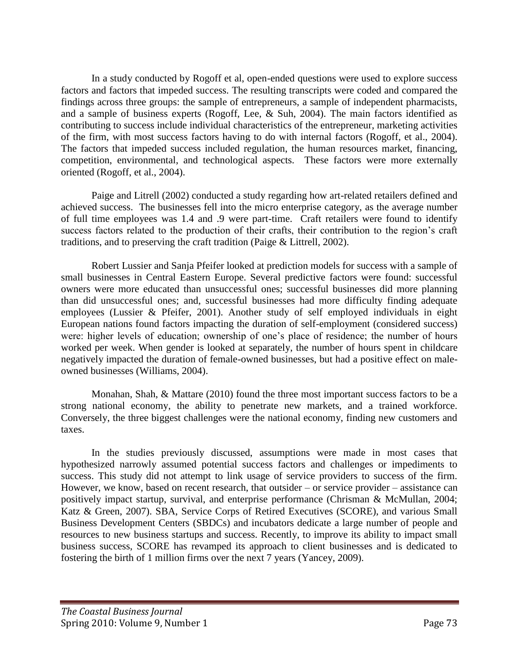In a study conducted by Rogoff et al, open-ended questions were used to explore success factors and factors that impeded success. The resulting transcripts were coded and compared the findings across three groups: the sample of entrepreneurs, a sample of independent pharmacists, and a sample of business experts (Rogoff, Lee, & Suh, 2004). The main factors identified as contributing to success include individual characteristics of the entrepreneur, marketing activities of the firm, with most success factors having to do with internal factors (Rogoff, et al., 2004). The factors that impeded success included regulation, the human resources market, financing, competition, environmental, and technological aspects. These factors were more externally oriented (Rogoff, et al., 2004).

Paige and Litrell (2002) conducted a study regarding how art-related retailers defined and achieved success. The businesses fell into the micro enterprise category, as the average number of full time employees was 1.4 and .9 were part-time. Craft retailers were found to identify success factors related to the production of their crafts, their contribution to the region's craft traditions, and to preserving the craft tradition (Paige & Littrell, 2002).

Robert Lussier and Sanja Pfeifer looked at prediction models for success with a sample of small businesses in Central Eastern Europe. Several predictive factors were found: successful owners were more educated than unsuccessful ones; successful businesses did more planning than did unsuccessful ones; and, successful businesses had more difficulty finding adequate employees (Lussier & Pfeifer, 2001). Another study of self employed individuals in eight European nations found factors impacting the duration of self-employment (considered success) were: higher levels of education; ownership of one's place of residence; the number of hours worked per week. When gender is looked at separately, the number of hours spent in childcare negatively impacted the duration of female-owned businesses, but had a positive effect on maleowned businesses (Williams, 2004).

Monahan, Shah, & Mattare (2010) found the three most important success factors to be a strong national economy, the ability to penetrate new markets, and a trained workforce. Conversely, the three biggest challenges were the national economy, finding new customers and taxes.

In the studies previously discussed, assumptions were made in most cases that hypothesized narrowly assumed potential success factors and challenges or impediments to success. This study did not attempt to link usage of service providers to success of the firm. However, we know, based on recent research, that outsider – or service provider – assistance can positively impact startup, survival, and enterprise performance (Chrisman & McMullan, 2004; Katz & Green, 2007). SBA, Service Corps of Retired Executives (SCORE), and various Small Business Development Centers (SBDCs) and incubators dedicate a large number of people and resources to new business startups and success. Recently, to improve its ability to impact small business success, SCORE has revamped its approach to client businesses and is dedicated to fostering the birth of 1 million firms over the next 7 years (Yancey, 2009).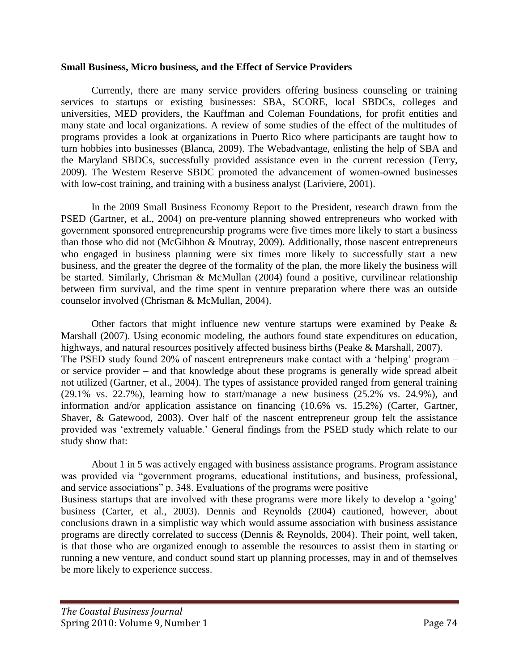#### **Small Business, Micro business, and the Effect of Service Providers**

Currently, there are many service providers offering business counseling or training services to startups or existing businesses: SBA, SCORE, local SBDCs, colleges and universities, MED providers, the Kauffman and Coleman Foundations, for profit entities and many state and local organizations. A review of some studies of the effect of the multitudes of programs provides a look at organizations in Puerto Rico where participants are taught how to turn hobbies into businesses (Blanca, 2009). The Webadvantage, enlisting the help of SBA and the Maryland SBDCs, successfully provided assistance even in the current recession (Terry, 2009). The Western Reserve SBDC promoted the advancement of women-owned businesses with low-cost training, and training with a business analyst (Lariviere, 2001).

In the 2009 Small Business Economy Report to the President, research drawn from the PSED (Gartner, et al., 2004) on pre-venture planning showed entrepreneurs who worked with government sponsored entrepreneurship programs were five times more likely to start a business than those who did not (McGibbon & Moutray, 2009). Additionally, those nascent entrepreneurs who engaged in business planning were six times more likely to successfully start a new business, and the greater the degree of the formality of the plan, the more likely the business will be started. Similarly, Chrisman & McMullan (2004) found a positive, curvilinear relationship between firm survival, and the time spent in venture preparation where there was an outside counselor involved (Chrisman & McMullan, 2004).

Other factors that might influence new venture startups were examined by Peake  $\&$ Marshall (2007). Using economic modeling, the authors found state expenditures on education, highways, and natural resources positively affected business births (Peake & Marshall, 2007). The PSED study found 20% of nascent entrepreneurs make contact with a 'helping' program – or service provider – and that knowledge about these programs is generally wide spread albeit not utilized (Gartner, et al., 2004). The types of assistance provided ranged from general training (29.1% vs. 22.7%), learning how to start/manage a new business (25.2% vs. 24.9%), and information and/or application assistance on financing (10.6% vs. 15.2%) (Carter, Gartner, Shaver, & Gatewood, 2003). Over half of the nascent entrepreneur group felt the assistance provided was ‗extremely valuable.' General findings from the PSED study which relate to our study show that:

About 1 in 5 was actively engaged with business assistance programs. Program assistance was provided via "government programs, educational institutions, and business, professional, and service associations" p. 348. Evaluations of the programs were positive Business startups that are involved with these programs were more likely to develop a 'going' business (Carter, et al., 2003). Dennis and Reynolds (2004) cautioned, however, about conclusions drawn in a simplistic way which would assume association with business assistance programs are directly correlated to success (Dennis & Reynolds, 2004). Their point, well taken, is that those who are organized enough to assemble the resources to assist them in starting or running a new venture, and conduct sound start up planning processes, may in and of themselves be more likely to experience success.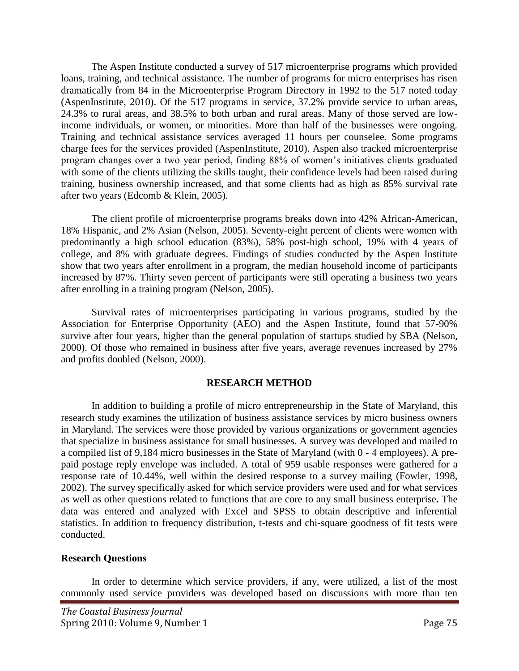The Aspen Institute conducted a survey of 517 microenterprise programs which provided loans, training, and technical assistance. The number of programs for micro enterprises has risen dramatically from 84 in the Microenterprise Program Directory in 1992 to the 517 noted today (AspenInstitute, 2010). Of the 517 programs in service, 37.2% provide service to urban areas, 24.3% to rural areas, and 38.5% to both urban and rural areas. Many of those served are lowincome individuals, or women, or minorities. More than half of the businesses were ongoing. Training and technical assistance services averaged 11 hours per counselee. Some programs charge fees for the services provided (AspenInstitute, 2010). Aspen also tracked microenterprise program changes over a two year period, finding 88% of women's initiatives clients graduated with some of the clients utilizing the skills taught, their confidence levels had been raised during training, business ownership increased, and that some clients had as high as 85% survival rate after two years (Edcomb & Klein, 2005).

The client profile of microenterprise programs breaks down into 42% African-American, 18% Hispanic, and 2% Asian (Nelson, 2005). Seventy-eight percent of clients were women with predominantly a high school education (83%), 58% post-high school, 19% with 4 years of college, and 8% with graduate degrees. Findings of studies conducted by the Aspen Institute show that two years after enrollment in a program, the median household income of participants increased by 87%. Thirty seven percent of participants were still operating a business two years after enrolling in a training program (Nelson, 2005).

Survival rates of microenterprises participating in various programs, studied by the Association for Enterprise Opportunity (AEO) and the Aspen Institute, found that 57-90% survive after four years, higher than the general population of startups studied by SBA (Nelson, 2000). Of those who remained in business after five years, average revenues increased by 27% and profits doubled (Nelson, 2000).

## **RESEARCH METHOD**

In addition to building a profile of micro entrepreneurship in the State of Maryland, this research study examines the utilization of business assistance services by micro business owners in Maryland. The services were those provided by various organizations or government agencies that specialize in business assistance for small businesses. A survey was developed and mailed to a compiled list of 9,184 micro businesses in the State of Maryland (with 0 - 4 employees). A prepaid postage reply envelope was included. A total of 959 usable responses were gathered for a response rate of 10.44%, well within the desired response to a survey mailing (Fowler, 1998, 2002). The survey specifically asked for which service providers were used and for what services as well as other questions related to functions that are core to any small business enterprise**.** The data was entered and analyzed with Excel and SPSS to obtain descriptive and inferential statistics. In addition to frequency distribution, t-tests and chi-square goodness of fit tests were conducted.

## **Research Questions**

In order to determine which service providers, if any, were utilized, a list of the most commonly used service providers was developed based on discussions with more than ten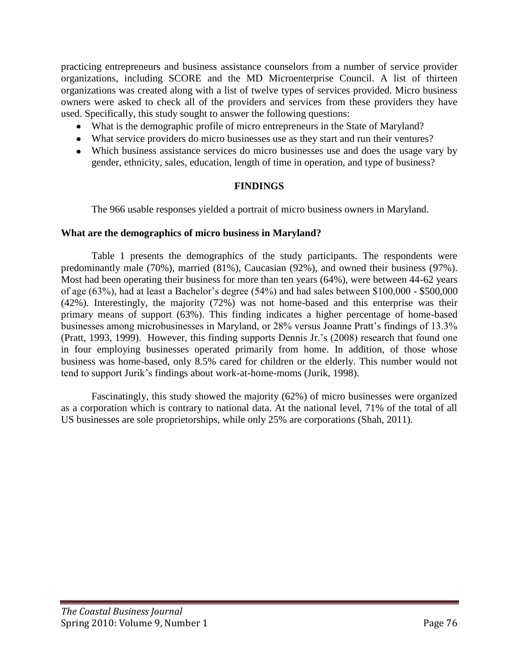practicing entrepreneurs and business assistance counselors from a number of service provider organizations, including SCORE and the MD Microenterprise Council. A list of thirteen organizations was created along with a list of twelve types of services provided. Micro business owners were asked to check all of the providers and services from these providers they have used. Specifically, this study sought to answer the following questions:

- What is the demographic profile of micro entrepreneurs in the State of Maryland?
- What service providers do micro businesses use as they start and run their ventures?
- Which business assistance services do micro businesses use and does the usage vary by gender, ethnicity, sales, education, length of time in operation, and type of business?

## **FINDINGS**

The 966 usable responses yielded a portrait of micro business owners in Maryland.

### **What are the demographics of micro business in Maryland?**

Table 1 presents the demographics of the study participants. The respondents were predominantly male (70%), married (81%), Caucasian (92%), and owned their business (97%). Most had been operating their business for more than ten years (64%), were between 44-62 years of age (63%), had at least a Bachelor's degree (54%) and had sales between \$100,000 - \$500,000 (42%). Interestingly, the majority (72%) was not home-based and this enterprise was their primary means of support (63%). This finding indicates a higher percentage of home-based businesses among microbusinesses in Maryland, or 28% versus Joanne Pratt's findings of 13.3% (Pratt, 1993, 1999). However, this finding supports Dennis Jr.'s (2008) research that found one in four employing businesses operated primarily from home. In addition, of those whose business was home-based, only 8.5% cared for children or the elderly. This number would not tend to support Jurik's findings about work-at-home-moms (Jurik, 1998).

Fascinatingly, this study showed the majority (62%) of micro businesses were organized as a corporation which is contrary to national data. At the national level, 71% of the total of all US businesses are sole proprietorships, while only 25% are corporations (Shah, 2011).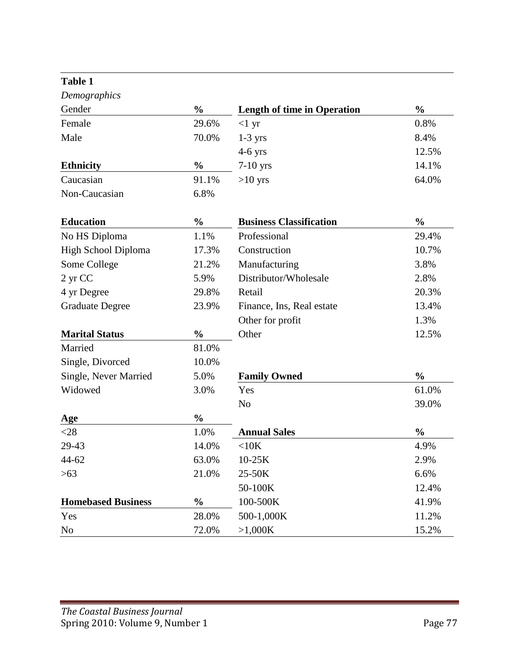| Table 1                   |               |                                    |               |
|---------------------------|---------------|------------------------------------|---------------|
| Demographics              |               |                                    |               |
| Gender                    | $\frac{0}{0}$ | <b>Length of time in Operation</b> | $\frac{0}{0}$ |
| Female                    | 29.6%         | $<1$ yr                            | 0.8%          |
| Male                      | 70.0%         | $1-3$ yrs                          | 8.4%          |
|                           |               | $4-6$ yrs                          | 12.5%         |
| <b>Ethnicity</b>          | $\frac{0}{0}$ | $7-10$ yrs                         | 14.1%         |
| Caucasian                 | 91.1%         | $>10$ yrs                          | 64.0%         |
| Non-Caucasian             | 6.8%          |                                    |               |
| <b>Education</b>          | $\frac{0}{0}$ | <b>Business Classification</b>     | $\frac{0}{0}$ |
| No HS Diploma             | 1.1%          | Professional                       | 29.4%         |
| High School Diploma       | 17.3%         | Construction                       | 10.7%         |
| Some College              | 21.2%         | Manufacturing                      | 3.8%          |
| 2 yr CC                   | 5.9%          | Distributor/Wholesale              | 2.8%          |
| 4 yr Degree               | 29.8%         | Retail                             | 20.3%         |
| <b>Graduate Degree</b>    | 23.9%         | Finance, Ins, Real estate          | 13.4%         |
|                           |               | Other for profit                   | 1.3%          |
| <b>Marital Status</b>     | $\frac{0}{0}$ | Other                              | 12.5%         |
| Married                   | 81.0%         |                                    |               |
| Single, Divorced          | 10.0%         |                                    |               |
| Single, Never Married     | 5.0%          | <b>Family Owned</b>                | $\frac{0}{0}$ |
| Widowed                   | 3.0%          | Yes                                | 61.0%         |
|                           |               | N <sub>o</sub>                     | 39.0%         |
| Age                       | $\frac{0}{0}$ |                                    |               |
| $<$ 28                    | 1.0%          | <b>Annual Sales</b>                | $\frac{0}{0}$ |
| 29-43                     | 14.0%         | $<$ 10 $K$                         | 4.9%          |
| 44-62                     | 63.0%         | $10-25K$                           | 2.9%          |
| >63                       | 21.0%         | 25-50K                             | 6.6%          |
|                           |               | 50-100K                            | 12.4%         |
| <b>Homebased Business</b> | $\frac{0}{0}$ | 100-500K                           | 41.9%         |
| Yes                       | 28.0%         | 500-1,000K                         | 11.2%         |
| N <sub>0</sub>            | 72.0%         | >1,000K                            | 15.2%         |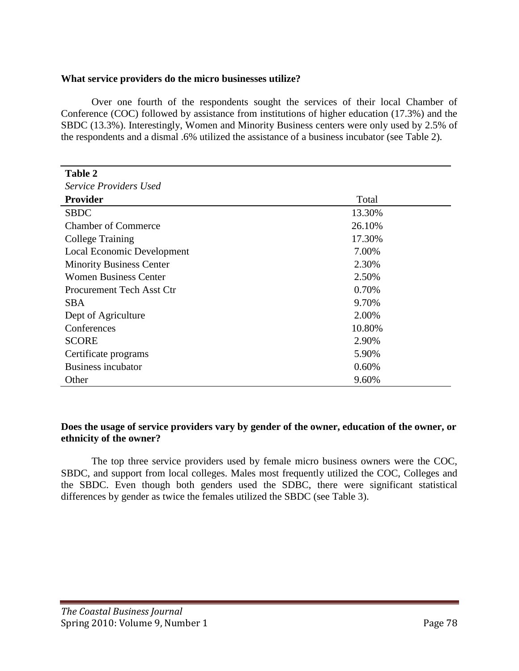### **What service providers do the micro businesses utilize?**

Over one fourth of the respondents sought the services of their local Chamber of Conference (COC) followed by assistance from institutions of higher education (17.3%) and the SBDC (13.3%). Interestingly, Women and Minority Business centers were only used by 2.5% of the respondents and a dismal .6% utilized the assistance of a business incubator (see Table 2).

| <b>Table 2</b>                   |        |
|----------------------------------|--------|
| <b>Service Providers Used</b>    |        |
| <b>Provider</b>                  | Total  |
| <b>SBDC</b>                      | 13.30% |
| <b>Chamber of Commerce</b>       | 26.10% |
| <b>College Training</b>          | 17.30% |
| Local Economic Development       | 7.00%  |
| <b>Minority Business Center</b>  | 2.30%  |
| <b>Women Business Center</b>     | 2.50%  |
| <b>Procurement Tech Asst Ctr</b> | 0.70%  |
| <b>SBA</b>                       | 9.70%  |
| Dept of Agriculture              | 2.00%  |
| Conferences                      | 10.80% |
| <b>SCORE</b>                     | 2.90%  |
| Certificate programs             | 5.90%  |
| <b>Business incubator</b>        | 0.60%  |
| Other                            | 9.60%  |

### **Does the usage of service providers vary by gender of the owner, education of the owner, or ethnicity of the owner?**

The top three service providers used by female micro business owners were the COC, SBDC, and support from local colleges. Males most frequently utilized the COC, Colleges and the SBDC. Even though both genders used the SDBC, there were significant statistical differences by gender as twice the females utilized the SBDC (see Table 3).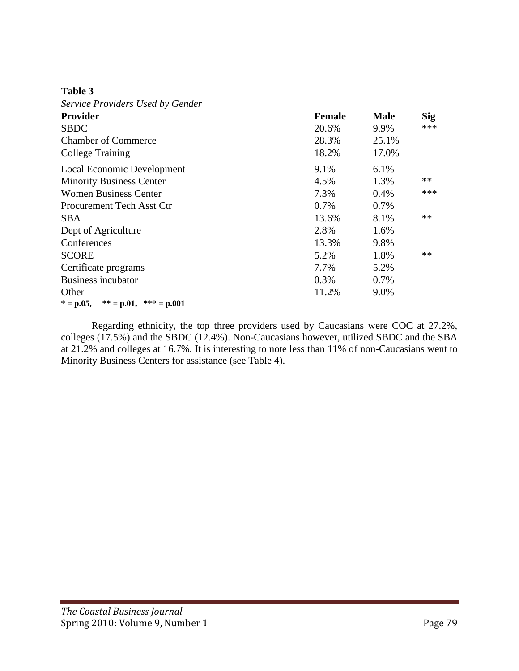| Table 3                                       |               |             |            |
|-----------------------------------------------|---------------|-------------|------------|
| Service Providers Used by Gender              |               |             |            |
| <b>Provider</b>                               | <b>Female</b> | <b>Male</b> | <b>Sig</b> |
| <b>SBDC</b>                                   | 20.6%         | 9.9%        | $***$      |
| <b>Chamber of Commerce</b>                    | 28.3%         | 25.1%       |            |
| <b>College Training</b>                       | 18.2%         | 17.0%       |            |
| Local Economic Development                    | 9.1%          | 6.1%        |            |
| <b>Minority Business Center</b>               | 4.5%          | 1.3%        | $**$       |
| <b>Women Business Center</b>                  | 7.3%          | 0.4%        | ***        |
| <b>Procurement Tech Asst Ctr</b>              | 0.7%          | 0.7%        |            |
| SBA                                           | 13.6%         | 8.1%        | $**$       |
| Dept of Agriculture                           | 2.8%          | 1.6%        |            |
| Conferences                                   | 13.3%         | 9.8%        |            |
| <b>SCORE</b>                                  | 5.2%          | 1.8%        | $**$       |
| Certificate programs                          | 7.7%          | 5.2%        |            |
| <b>Business incubator</b>                     | 0.3%          | 0.7%        |            |
| Other                                         | 11.2%         | 9.0%        |            |
| ** = $p.01$ ,<br>*** = $p.001$<br>$* = p.05,$ |               |             |            |

Regarding ethnicity, the top three providers used by Caucasians were COC at 27.2%, colleges (17.5%) and the SBDC (12.4%). Non-Caucasians however, utilized SBDC and the SBA at 21.2% and colleges at 16.7%. It is interesting to note less than 11% of non-Caucasians went to Minority Business Centers for assistance (see Table 4).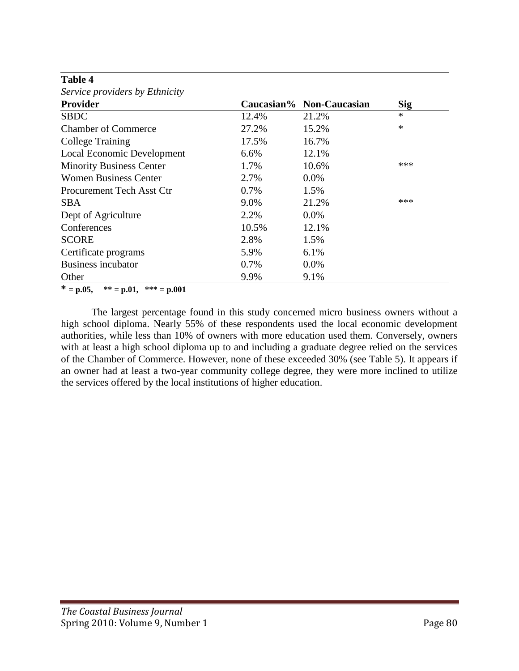| Service providers by Ethnicity   |       |                          |            |
|----------------------------------|-------|--------------------------|------------|
| Provider                         |       | Caucasian% Non-Caucasian | <b>Sig</b> |
| <b>SBDC</b>                      | 12.4% | 21.2%                    | $\ast$     |
| <b>Chamber of Commerce</b>       | 27.2% | 15.2%                    | $\ast$     |
| <b>College Training</b>          | 17.5% | 16.7%                    |            |
| Local Economic Development       | 6.6%  | 12.1%                    |            |
| <b>Minority Business Center</b>  | 1.7%  | 10.6%                    | ***        |
| <b>Women Business Center</b>     | 2.7%  | $0.0\%$                  |            |
| <b>Procurement Tech Asst Ctr</b> | 0.7%  | 1.5%                     |            |
| SBA                              | 9.0%  | 21.2%                    | ***        |
| Dept of Agriculture              | 2.2%  | $0.0\%$                  |            |
| Conferences                      | 10.5% | 12.1%                    |            |
| <b>SCORE</b>                     | 2.8%  | 1.5%                     |            |
| Certificate programs             | 5.9%  | 6.1%                     |            |
| <b>Business incubator</b>        | 0.7%  | 0.0%                     |            |
| Other                            | 9.9%  | 9.1%                     |            |

**Table 4**

**\* = p.05, \*\* = p.01, \*\*\* = p.001** 

The largest percentage found in this study concerned micro business owners without a high school diploma. Nearly 55% of these respondents used the local economic development authorities, while less than 10% of owners with more education used them. Conversely, owners with at least a high school diploma up to and including a graduate degree relied on the services of the Chamber of Commerce. However, none of these exceeded 30% (see Table 5). It appears if an owner had at least a two-year community college degree, they were more inclined to utilize the services offered by the local institutions of higher education.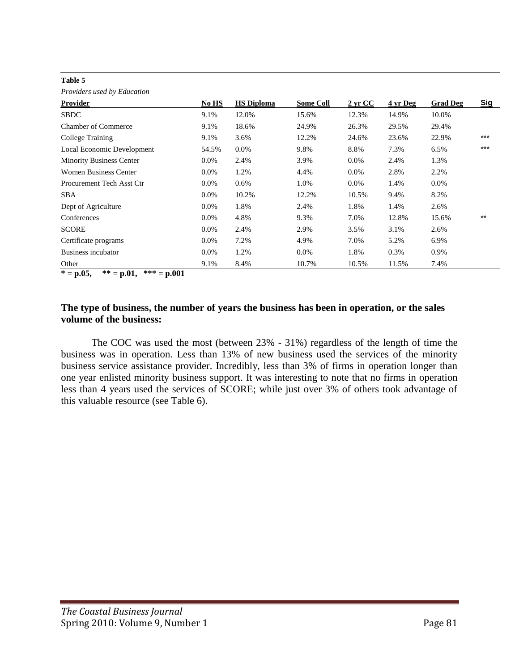#### **Table 5**

*Providers used by Education*

| <i>i roviacis</i> used <i>o y Laucanon</i> |         |                   |                  |                      |          |                 |            |
|--------------------------------------------|---------|-------------------|------------------|----------------------|----------|-----------------|------------|
| Provider                                   | No HS   | <b>HS Diploma</b> | <b>Some Coll</b> | $2 \,\mathrm{yr}$ CC | 4 yr Deg | <b>Grad Deg</b> | <b>Sig</b> |
| <b>SBDC</b>                                | 9.1%    | 12.0%             | 15.6%            | 12.3%                | 14.9%    | 10.0%           |            |
| <b>Chamber of Commerce</b>                 | 9.1%    | 18.6%             | 24.9%            | 26.3%                | 29.5%    | 29.4%           |            |
| College Training                           | 9.1%    | 3.6%              | 12.2%            | 24.6%                | 23.6%    | 22.9%           | $***$      |
| Local Economic Development                 | 54.5%   | $0.0\%$           | 9.8%             | 8.8%                 | 7.3%     | 6.5%            | $***$      |
| <b>Minority Business Center</b>            | $0.0\%$ | 2.4%              | 3.9%             | $0.0\%$              | 2.4%     | 1.3%            |            |
| <b>Women Business Center</b>               | $0.0\%$ | 1.2%              | 4.4%             | $0.0\%$              | 2.8%     | 2.2%            |            |
| Procurement Tech Asst Ctr                  | $0.0\%$ | $0.6\%$           | 1.0%             | $0.0\%$              | 1.4%     | $0.0\%$         |            |
| <b>SBA</b>                                 | $0.0\%$ | 10.2%             | 12.2%            | 10.5%                | 9.4%     | 8.2%            |            |
| Dept of Agriculture                        | $0.0\%$ | 1.8%              | 2.4%             | 1.8%                 | 1.4%     | 2.6%            |            |
| Conferences                                | $0.0\%$ | 4.8%              | 9.3%             | 7.0%                 | 12.8%    | 15.6%           | $***$      |
| <b>SCORE</b>                               | $0.0\%$ | 2.4%              | 2.9%             | 3.5%                 | 3.1%     | 2.6%            |            |
| Certificate programs                       | $0.0\%$ | 7.2%              | 4.9%             | 7.0%                 | 5.2%     | 6.9%            |            |
| Business incubator                         | $0.0\%$ | 1.2%              | $0.0\%$          | 1.8%                 | 0.3%     | 0.9%            |            |
| Other                                      | 9.1%    | 8.4%              | 10.7%            | 10.5%                | 11.5%    | 7.4%            |            |

 $* = p.05$ ,  $* = p.01$ ,  $* = p.001$ 

## **The type of business, the number of years the business has been in operation, or the sales volume of the business:**

The COC was used the most (between 23% - 31%) regardless of the length of time the business was in operation. Less than 13% of new business used the services of the minority business service assistance provider. Incredibly, less than 3% of firms in operation longer than one year enlisted minority business support. It was interesting to note that no firms in operation less than 4 years used the services of SCORE; while just over 3% of others took advantage of this valuable resource (see Table 6).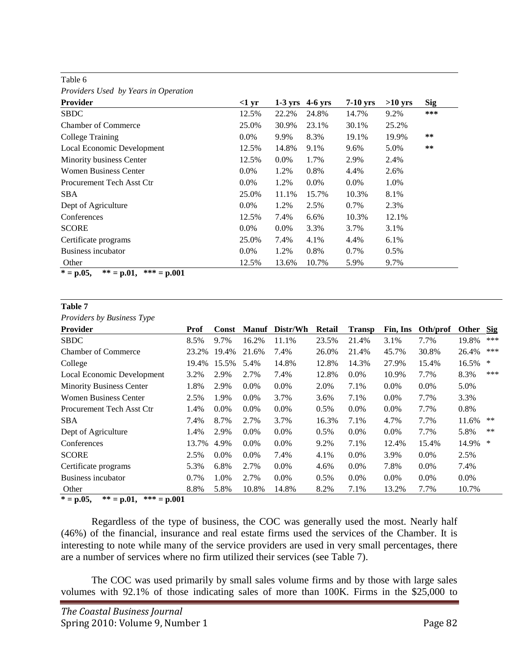| Providers Used by Years in Operation |          |           |           |            |           |            |
|--------------------------------------|----------|-----------|-----------|------------|-----------|------------|
| <b>Provider</b>                      | $<$ 1 yr | $1-3$ yrs | $4-6$ yrs | $7-10$ yrs | $>10$ yrs | <b>Sig</b> |
| <b>SBDC</b>                          | 12.5%    | 22.2%     | 24.8%     | 14.7%      | 9.2%      | ***        |
| <b>Chamber of Commerce</b>           | 25.0%    | 30.9%     | 23.1%     | 30.1%      | 25.2%     |            |
| <b>College Training</b>              | $0.0\%$  | 9.9%      | 8.3%      | 19.1%      | 19.9%     | $***$      |
| Local Economic Development           | 12.5%    | 14.8%     | 9.1%      | 9.6%       | 5.0%      | $**$       |
| Minority business Center             | 12.5%    | $0.0\%$   | 1.7%      | 2.9%       | 2.4%      |            |
| <b>Women Business Center</b>         | $0.0\%$  | 1.2%      | 0.8%      | 4.4%       | 2.6%      |            |
| <b>Procurement Tech Asst Ctr</b>     | $0.0\%$  | 1.2%      | $0.0\%$   | $0.0\%$    | 1.0%      |            |
| <b>SBA</b>                           | 25.0%    | 11.1%     | 15.7%     | 10.3%      | 8.1%      |            |
| Dept of Agriculture                  | $0.0\%$  | 1.2%      | 2.5%      | 0.7%       | 2.3%      |            |
| Conferences                          | 12.5%    | 7.4%      | 6.6%      | 10.3%      | 12.1%     |            |
| <b>SCORE</b>                         | $0.0\%$  | $0.0\%$   | 3.3%      | 3.7%       | 3.1%      |            |
| Certificate programs                 | 25.0%    | 7.4%      | 4.1%      | 4.4%       | 6.1%      |            |
| Business incubator                   | $0.0\%$  | 1.2%      | 0.8%      | 0.7%       | 0.5%      |            |
| Other                                | 12.5%    | 13.6%     | 10.7%     | 5.9%       | 9.7%      |            |

Table 6

 $* = p.05$ ,  $* = p.01$ ,  $* * = p.001$ 

| Table 7                                   |       |         |              |          |         |               |          |          |         |            |
|-------------------------------------------|-------|---------|--------------|----------|---------|---------------|----------|----------|---------|------------|
| Providers by Business Type                |       |         |              |          |         |               |          |          |         |            |
| Provider                                  | Prof  | Const   | <b>Manuf</b> | Distr/Wh | Retail  | <b>Transp</b> | Fin, Ins | Oth/prof | Other   | <b>Sig</b> |
| <b>SBDC</b>                               | 8.5%  | 9.7%    | 16.2%        | 11.1%    | 23.5%   | 21.4%         | 3.1%     | 7.7%     | 19.8%   | ***        |
| <b>Chamber of Commerce</b>                | 23.2% | 19.4%   | 21.6%        | 7.4%     | 26.0%   | 21.4%         | 45.7%    | 30.8%    | 26.4%   | ***        |
| College                                   | 19.4% | 15.5%   | 5.4%         | 14.8%    | 12.8%   | 14.3%         | 27.9%    | 15.4%    | 16.5%   | *          |
| Local Economic Development                | 3.2%  | 2.9%    | 2.7%         | 7.4%     | 12.8%   | $0.0\%$       | 10.9%    | 7.7%     | 8.3%    | ***        |
| <b>Minority Business Center</b>           | 1.8%  | 2.9%    | $0.0\%$      | $0.0\%$  | 2.0%    | 7.1%          | 0.0%     | 0.0%     | 5.0%    |            |
| <b>Women Business Center</b>              | 2.5%  | 1.9%    | 0.0%         | 3.7%     | 3.6%    | 7.1%          | $0.0\%$  | 7.7%     | 3.3%    |            |
| Procurement Tech Asst Ctr                 | 1.4%  | $0.0\%$ | 0.0%         | 0.0%     | $0.5\%$ | 0.0%          | 0.0%     | 7.7%     | 0.8%    |            |
| <b>SBA</b>                                | 7.4%  | 8.7%    | 2.7%         | 3.7%     | 16.3%   | 7.1%          | 4.7%     | 7.7%     | 11.6%   | $***$      |
| Dept of Agriculture                       | 1.4%  | 2.9%    | $0.0\%$      | $0.0\%$  | $0.5\%$ | $0.0\%$       | 0.0%     | 7.7%     | 5.8%    | $***$      |
| Conferences                               | 13.7% | 4.9%    | $0.0\%$      | $0.0\%$  | 9.2%    | 7.1%          | 12.4%    | 15.4%    | 14.9%   | ∗          |
| <b>SCORE</b>                              | 2.5%  | $0.0\%$ | $0.0\%$      | 7.4%     | 4.1%    | 0.0%          | 3.9%     | 0.0%     | 2.5%    |            |
| Certificate programs                      | 5.3%  | 6.8%    | 2.7%         | $0.0\%$  | 4.6%    | $0.0\%$       | 7.8%     | 0.0%     | 7.4%    |            |
| Business incubator                        | 0.7%  | 1.0%    | 2.7%         | $0.0\%$  | 0.5%    | $0.0\%$       | $0.0\%$  | $0.0\%$  | $0.0\%$ |            |
| Other                                     | 8.8%  | 5.8%    | 10.8%        | 14.8%    | 8.2%    | 7.1%          | 13.2%    | 7.7%     | 10.7%   |            |
| $* - n05$<br>$** - n$ 01<br>$*** - n$ 001 |       |         |              |          |         |               |          |          |         |            |

**\* = p.05, \*\* = p.01, \*\*\* = p.001** 

Regardless of the type of business, the COC was generally used the most. Nearly half (46%) of the financial, insurance and real estate firms used the services of the Chamber. It is interesting to note while many of the service providers are used in very small percentages, there are a number of services where no firm utilized their services (see Table 7).

The COC was used primarily by small sales volume firms and by those with large sales volumes with 92.1% of those indicating sales of more than 100K. Firms in the \$25,000 to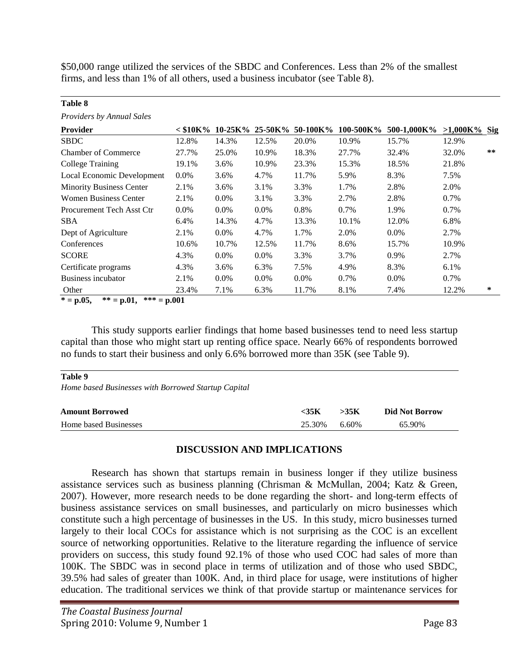\$50,000 range utilized the services of the SBDC and Conferences. Less than 2% of the smallest firms, and less than 1% of all others, used a business incubator (see Table 8).

| Providers by Annual Sales       |         |         |         |                                     |           |             |                 |       |
|---------------------------------|---------|---------|---------|-------------------------------------|-----------|-------------|-----------------|-------|
| <b>Provider</b>                 |         |         |         | $<$ \$10K% 10-25K% 25-50K% 50-100K% | 100-500K% | 500-1,000K% | $>1,000K\%$ Sig |       |
| <b>SBDC</b>                     | 12.8%   | 14.3%   | 12.5%   | 20.0%                               | 10.9%     | 15.7%       | 12.9%           |       |
| <b>Chamber of Commerce</b>      | 27.7%   | 25.0%   | 10.9%   | 18.3%                               | 27.7%     | 32.4%       | 32.0%           | $***$ |
| College Training                | 19.1%   | 3.6%    | 10.9%   | 23.3%                               | 15.3%     | 18.5%       | 21.8%           |       |
| Local Economic Development      | $0.0\%$ | 3.6%    | 4.7%    | 11.7%                               | 5.9%      | 8.3%        | 7.5%            |       |
| <b>Minority Business Center</b> | 2.1%    | 3.6%    | 3.1%    | 3.3%                                | 1.7%      | 2.8%        | 2.0%            |       |
| <b>Women Business Center</b>    | 2.1%    | $0.0\%$ | 3.1%    | 3.3%                                | 2.7%      | 2.8%        | 0.7%            |       |
| Procurement Tech Asst Ctr       | $0.0\%$ | $0.0\%$ | $0.0\%$ | 0.8%                                | 0.7%      | 1.9%        | 0.7%            |       |
| <b>SBA</b>                      | 6.4%    | 14.3%   | 4.7%    | 13.3%                               | 10.1%     | 12.0%       | 6.8%            |       |
| Dept of Agriculture             | 2.1%    | $0.0\%$ | 4.7%    | 1.7%                                | 2.0%      | $0.0\%$     | 2.7%            |       |
| Conferences                     | 10.6%   | 10.7%   | 12.5%   | 11.7%                               | 8.6%      | 15.7%       | 10.9%           |       |
| <b>SCORE</b>                    | 4.3%    | $0.0\%$ | $0.0\%$ | 3.3%                                | 3.7%      | 0.9%        | 2.7%            |       |
| Certificate programs            | 4.3%    | 3.6%    | 6.3%    | 7.5%                                | 4.9%      | 8.3%        | 6.1%            |       |
| Business incubator              | 2.1%    | $0.0\%$ | $0.0\%$ | $0.0\%$                             | 0.7%      | $0.0\%$     | $0.7\%$         |       |
| Other                           | 23.4%   | 7.1%    | 6.3%    | 11.7%                               | 8.1%      | 7.4%        | 12.2%           | ∗     |

 $* = p.05$ ,  $* = p.01$ ,  $* = p.001$ 

This study supports earlier findings that home based businesses tend to need less startup capital than those who might start up renting office space. Nearly 66% of respondents borrowed no funds to start their business and only 6.6% borrowed more than 35K (see Table 9).

#### **Table 9**

**Table 8**

*Home based Businesses with Borrowed Startup Capital*

| <b>Amount Borrowed</b> | <35K   | >35K  | <b>Did Not Borrow</b> |
|------------------------|--------|-------|-----------------------|
| Home based Businesses  | 25.30% | 6.60% | 65.90%                |

#### **DISCUSSION AND IMPLICATIONS**

Research has shown that startups remain in business longer if they utilize business assistance services such as business planning (Chrisman & McMullan, 2004; Katz & Green, 2007). However, more research needs to be done regarding the short- and long-term effects of business assistance services on small businesses, and particularly on micro businesses which constitute such a high percentage of businesses in the US. In this study, micro businesses turned largely to their local COCs for assistance which is not surprising as the COC is an excellent source of networking opportunities. Relative to the literature regarding the influence of service providers on success, this study found 92.1% of those who used COC had sales of more than 100K. The SBDC was in second place in terms of utilization and of those who used SBDC, 39.5% had sales of greater than 100K. And, in third place for usage, were institutions of higher education. The traditional services we think of that provide startup or maintenance services for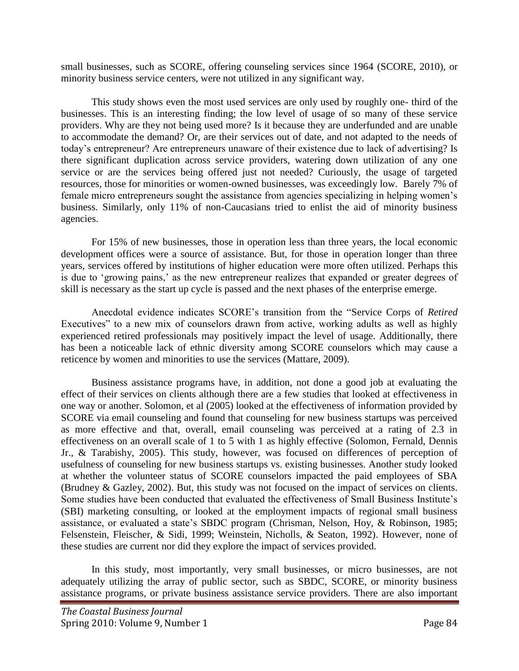small businesses, such as SCORE, offering counseling services since 1964 (SCORE, 2010), or minority business service centers, were not utilized in any significant way.

This study shows even the most used services are only used by roughly one- third of the businesses. This is an interesting finding; the low level of usage of so many of these service providers. Why are they not being used more? Is it because they are underfunded and are unable to accommodate the demand? Or, are their services out of date, and not adapted to the needs of today's entrepreneur? Are entrepreneurs unaware of their existence due to lack of advertising? Is there significant duplication across service providers, watering down utilization of any one service or are the services being offered just not needed? Curiously, the usage of targeted resources, those for minorities or women-owned businesses, was exceedingly low. Barely 7% of female micro entrepreneurs sought the assistance from agencies specializing in helping women's business. Similarly, only 11% of non-Caucasians tried to enlist the aid of minority business agencies.

For 15% of new businesses, those in operation less than three years, the local economic development offices were a source of assistance. But, for those in operation longer than three years, services offered by institutions of higher education were more often utilized. Perhaps this is due to 'growing pains,' as the new entrepreneur realizes that expanded or greater degrees of skill is necessary as the start up cycle is passed and the next phases of the enterprise emerge.

Anecdotal evidence indicates SCORE's transition from the "Service Corps of *Retired* Executives" to a new mix of counselors drawn from active, working adults as well as highly experienced retired professionals may positively impact the level of usage. Additionally, there has been a noticeable lack of ethnic diversity among SCORE counselors which may cause a reticence by women and minorities to use the services (Mattare, 2009).

Business assistance programs have, in addition, not done a good job at evaluating the effect of their services on clients although there are a few studies that looked at effectiveness in one way or another. Solomon, et al (2005) looked at the effectiveness of information provided by SCORE via email counseling and found that counseling for new business startups was perceived as more effective and that, overall, email counseling was perceived at a rating of 2.3 in effectiveness on an overall scale of 1 to 5 with 1 as highly effective (Solomon, Fernald, Dennis Jr., & Tarabishy, 2005). This study, however, was focused on differences of perception of usefulness of counseling for new business startups vs. existing businesses. Another study looked at whether the volunteer status of SCORE counselors impacted the paid employees of SBA (Brudney & Gazley, 2002). But, this study was not focused on the impact of services on clients. Some studies have been conducted that evaluated the effectiveness of Small Business Institute's (SBI) marketing consulting, or looked at the employment impacts of regional small business assistance, or evaluated a state's SBDC program (Chrisman, Nelson, Hoy, & Robinson, 1985; Felsenstein, Fleischer, & Sidi, 1999; Weinstein, Nicholls, & Seaton, 1992). However, none of these studies are current nor did they explore the impact of services provided.

In this study, most importantly, very small businesses, or micro businesses, are not adequately utilizing the array of public sector, such as SBDC, SCORE, or minority business assistance programs, or private business assistance service providers. There are also important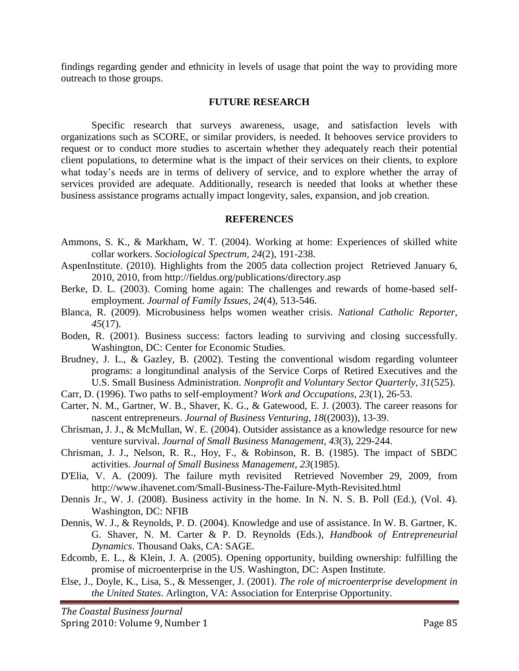findings regarding gender and ethnicity in levels of usage that point the way to providing more outreach to those groups.

#### **FUTURE RESEARCH**

Specific research that surveys awareness, usage, and satisfaction levels with organizations such as SCORE, or similar providers, is needed. It behooves service providers to request or to conduct more studies to ascertain whether they adequately reach their potential client populations, to determine what is the impact of their services on their clients, to explore what today's needs are in terms of delivery of service, and to explore whether the array of services provided are adequate. Additionally, research is needed that looks at whether these business assistance programs actually impact longevity, sales, expansion, and job creation.

#### **REFERENCES**

- Ammons, S. K., & Markham, W. T. (2004). Working at home: Experiences of skilled white collar workers. *Sociological Spectrum, 24*(2), 191-238.
- AspenInstitute. (2010). Highlights from the 2005 data collection project Retrieved January 6, 2010, 2010, from http://fieldus.org/publications/directory.asp
- Berke, D. L. (2003). Coming home again: The challenges and rewards of home-based selfemployment. *Journal of Family Issues, 24*(4), 513-546.
- Blanca, R. (2009). Microbusiness helps women weather crisis. *National Catholic Reporter, 45*(17).
- Boden, R. (2001). Business success: factors leading to surviving and closing successfully. Washington, DC: Center for Economic Studies.
- Brudney, J. L., & Gazley, B. (2002). Testing the conventional wisdom regarding volunteer programs: a longitundinal analysis of the Service Corps of Retired Executives and the U.S. Small Business Administration. *Nonprofit and Voluntary Sector Quarterly, 31*(525).
- Carr, D. (1996). Two paths to self-employment? *Work and Occupations, 23*(1), 26-53.
- Carter, N. M., Gartner, W. B., Shaver, K. G., & Gatewood, E. J. (2003). The career reasons for nascent entrepreneurs. *Journal of Business Venturing, 18*((2003)), 13-39.
- Chrisman, J. J., & McMullan, W. E. (2004). Outsider assistance as a knowledge resource for new venture survival. *Journal of Small Business Management, 43*(3), 229-244.
- Chrisman, J. J., Nelson, R. R., Hoy, F., & Robinson, R. B. (1985). The impact of SBDC activities. *Journal of Small Business Management, 23*(1985).
- D'Elia, V. A. (2009). The failure myth revisited Retrieved November 29, 2009, from http://www.ihavenet.com/Small-Business-The-Failure-Myth-Revisited.html
- Dennis Jr., W. J. (2008). Business activity in the home. In N. N. S. B. Poll (Ed.), (Vol. 4). Washington, DC: NFIB
- Dennis, W. J., & Reynolds, P. D. (2004). Knowledge and use of assistance. In W. B. Gartner, K. G. Shaver, N. M. Carter & P. D. Reynolds (Eds.), *Handbook of Entrepreneurial Dynamics*. Thousand Oaks, CA: SAGE.
- Edcomb, E. L., & Klein, J. A. (2005). Opening opportunity, building ownership: fulfilling the promise of microenterprise in the US. Washington, DC: Aspen Institute.
- Else, J., Doyle, K., Lisa, S., & Messenger, J. (2001). *The role of microenterprise development in the United States*. Arlington, VA: Association for Enterprise Opportunity.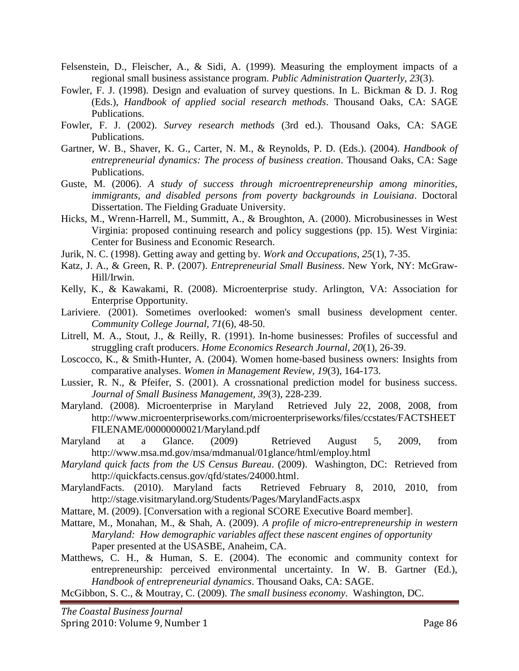- Felsenstein, D., Fleischer, A., & Sidi, A. (1999). Measuring the employment impacts of a regional small business assistance program. *Public Administration Quarterly, 23*(3).
- Fowler, F. J. (1998). Design and evaluation of survey questions. In L. Bickman & D. J. Rog (Eds.), *Handbook of applied social research methods*. Thousand Oaks, CA: SAGE Publications.
- Fowler, F. J. (2002). *Survey research methods* (3rd ed.). Thousand Oaks, CA: SAGE Publications.
- Gartner, W. B., Shaver, K. G., Carter, N. M., & Reynolds, P. D. (Eds.). (2004). *Handbook of entrepreneurial dynamics: The process of business creation*. Thousand Oaks, CA: Sage Publications.
- Guste, M. (2006). *A study of success through microentrepreneurship among minorities, immigrants, and disabled persons from poverty backgrounds in Louisiana*. Doctoral Dissertation. The Fielding Graduate University.
- Hicks, M., Wrenn-Harrell, M., Summitt, A., & Broughton, A. (2000). Microbusinesses in West Virginia: proposed continuing research and policy suggestions (pp. 15). West Virginia: Center for Business and Economic Research.
- Jurik, N. C. (1998). Getting away and getting by. *Work and Occupations, 25*(1), 7-35.
- Katz, J. A., & Green, R. P. (2007). *Entrepreneurial Small Business*. New York, NY: McGraw-Hill/Irwin.
- Kelly, K., & Kawakami, R. (2008). Microenterprise study. Arlington, VA: Association for Enterprise Opportunity.
- Lariviere. (2001). Sometimes overlooked: women's small business development center. *Community College Journal, 71*(6), 48-50.
- Litrell, M. A., Stout, J., & Reilly, R. (1991). In-home businesses: Profiles of successful and struggling craft producers. *Home Economics Research Journal, 20*(1), 26-39.
- Loscocco, K., & Smith-Hunter, A. (2004). Women home-based business owners: Insights from comparative analyses. *Women in Management Review, 19*(3), 164-173.
- Lussier, R. N., & Pfeifer, S. (2001). A crossnational prediction model for business success. *Journal of Small Business Management, 39*(3), 228-239.
- Maryland. (2008). Microenterprise in Maryland Retrieved July 22, 2008, 2008, from http://www.microenterpriseworks.com/microenterpriseworks/files/ccstates/FACTSHEET FILENAME/00000000021/Maryland.pdf
- Maryland at a Glance. (2009) Retrieved August 5, 2009, from http://www.msa.md.gov/msa/mdmanual/01glance/html/employ.html
- *Maryland quick facts from the US Census Bureau*. (2009). Washington, DC: Retrieved from http://quickfacts.census.gov/qfd/states/24000.html.
- MarylandFacts. (2010). Maryland facts Retrieved February 8, 2010, 2010, from http://stage.visitmaryland.org/Students/Pages/MarylandFacts.aspx
- Mattare, M. (2009). [Conversation with a regional SCORE Executive Board member].
- Mattare, M., Monahan, M., & Shah, A. (2009). *A profile of micro-entrepreneurship in western Maryland: How demographic variables affect these nascent engines of opportunity* Paper presented at the USASBE, Anaheim, CA.
- Matthews, C. H., & Human, S. E. (2004). The economic and community context for entrepreneurship: perceived environmental uncertainty. In W. B. Gartner (Ed.), *Handbook of entrepreneurial dynamics*. Thousand Oaks, CA: SAGE.

McGibbon, S. C., & Moutray, C. (2009). *The small business economy*. Washington, DC.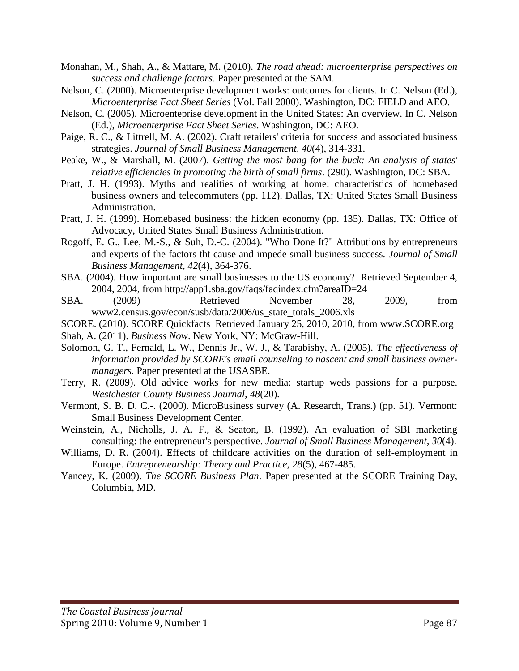- Monahan, M., Shah, A., & Mattare, M. (2010). *The road ahead: microenterprise perspectives on success and challenge factors*. Paper presented at the SAM.
- Nelson, C. (2000). Microenterprise development works: outcomes for clients. In C. Nelson (Ed.), *Microenterprise Fact Sheet Series* (Vol. Fall 2000). Washington, DC: FIELD and AEO.
- Nelson, C. (2005). Microenteprise development in the United States: An overview. In C. Nelson (Ed.), *Microenterprise Fact Sheet Series*. Washington, DC: AEO.
- Paige, R. C., & Littrell, M. A. (2002). Craft retailers' criteria for success and associated business strategies. *Journal of Small Business Management, 40*(4), 314-331.
- Peake, W., & Marshall, M. (2007). *Getting the most bang for the buck: An analysis of states' relative efficiencies in promoting the birth of small firms*. (290). Washington, DC: SBA.
- Pratt, J. H. (1993). Myths and realities of working at home: characteristics of homebased business owners and telecommuters (pp. 112). Dallas, TX: United States Small Business Administration.
- Pratt, J. H. (1999). Homebased business: the hidden economy (pp. 135). Dallas, TX: Office of Advocacy, United States Small Business Administration.
- Rogoff, E. G., Lee, M.-S., & Suh, D.-C. (2004). "Who Done It?" Attributions by entrepreneurs and experts of the factors tht cause and impede small business success. *Journal of Small Business Management, 42*(4), 364-376.
- SBA. (2004). How important are small businesses to the US economy? Retrieved September 4, 2004, 2004, from http://app1.sba.gov/faqs/faqindex.cfm?areaID=24
- SBA. (2009) Retrieved November 28, 2009, from www2.census.gov/econ/susb/data/2006/us\_state\_totals\_2006.xls

SCORE. (2010). SCORE Quickfacts Retrieved January 25, 2010, 2010, from www.SCORE.org

Shah, A. (2011). *Business Now*. New York, NY: McGraw-Hill.

- Solomon, G. T., Fernald, L. W., Dennis Jr., W. J., & Tarabishy, A. (2005). *The effectiveness of information provided by SCORE's email counseling to nascent and small business ownermanagers.* Paper presented at the USASBE.
- Terry, R. (2009). Old advice works for new media: startup weds passions for a purpose. *Westchester County Business Journal, 48*(20).
- Vermont, S. B. D. C.-. (2000). MicroBusiness survey (A. Research, Trans.) (pp. 51). Vermont: Small Business Development Center.
- Weinstein, A., Nicholls, J. A. F., & Seaton, B. (1992). An evaluation of SBI marketing consulting: the entrepreneur's perspective. *Journal of Small Business Management, 30*(4).
- Williams, D. R. (2004). Effects of childcare activities on the duration of self-employment in Europe. *Entrepreneurship: Theory and Practice, 28*(5), 467-485.
- Yancey, K. (2009). *The SCORE Business Plan*. Paper presented at the SCORE Training Day, Columbia, MD.